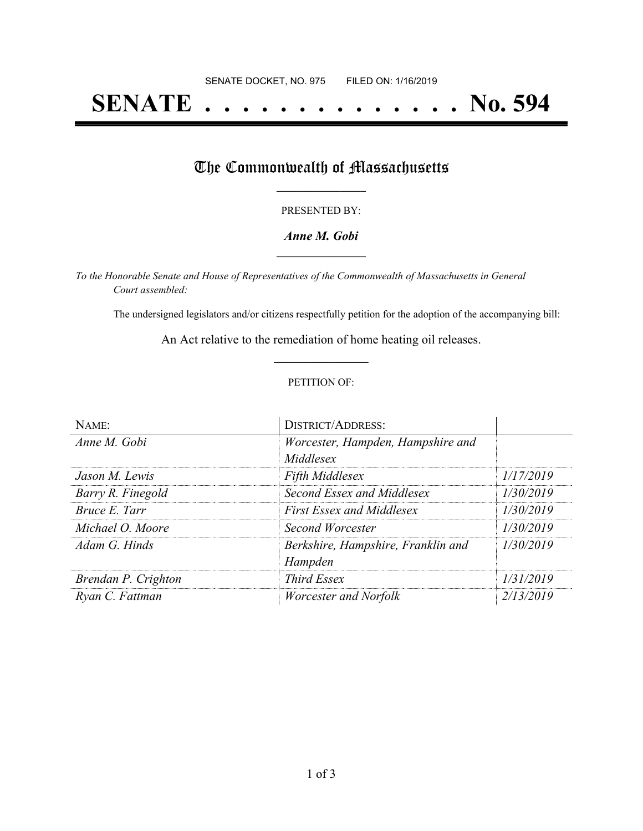# **SENATE . . . . . . . . . . . . . . No. 594**

## The Commonwealth of Massachusetts

#### PRESENTED BY:

#### *Anne M. Gobi* **\_\_\_\_\_\_\_\_\_\_\_\_\_\_\_\_\_**

*To the Honorable Senate and House of Representatives of the Commonwealth of Massachusetts in General Court assembled:*

The undersigned legislators and/or citizens respectfully petition for the adoption of the accompanying bill:

An Act relative to the remediation of home heating oil releases. **\_\_\_\_\_\_\_\_\_\_\_\_\_\_\_**

#### PETITION OF:

| NAME:               | <b>DISTRICT/ADDRESS:</b>           |           |
|---------------------|------------------------------------|-----------|
| Anne M. Gobi        | Worcester, Hampden, Hampshire and  |           |
|                     | Middlesex                          |           |
| Jason M. Lewis      | <b>Fifth Middlesex</b>             | 1/17/2019 |
| Barry R. Finegold   | Second Essex and Middlesex         | 1/30/2019 |
| Bruce E. Tarr       | <b>First Essex and Middlesex</b>   | 1/30/2019 |
| Michael O. Moore    | Second Worcester                   | 1/30/2019 |
| Adam G. Hinds       | Berkshire, Hampshire, Franklin and | 1/30/2019 |
|                     | Hampden                            |           |
| Brendan P. Crighton | Third Essex                        | 1/31/2019 |
| Ryan C. Fattman     | <i>Worcester and Norfolk</i>       | 2/13/2019 |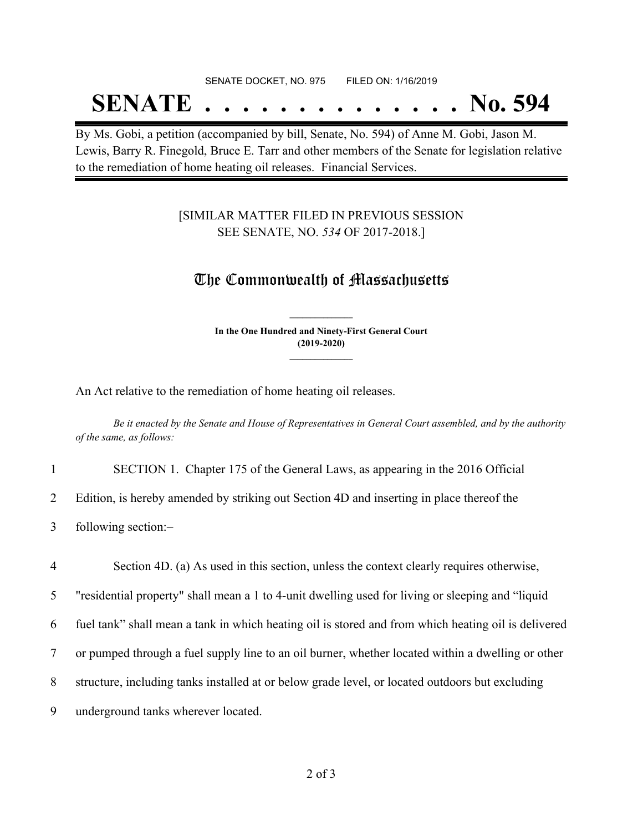### SENATE DOCKET, NO. 975 FILED ON: 1/16/2019

## **SENATE . . . . . . . . . . . . . . No. 594**

By Ms. Gobi, a petition (accompanied by bill, Senate, No. 594) of Anne M. Gobi, Jason M. Lewis, Barry R. Finegold, Bruce E. Tarr and other members of the Senate for legislation relative to the remediation of home heating oil releases. Financial Services.

### [SIMILAR MATTER FILED IN PREVIOUS SESSION SEE SENATE, NO. *534* OF 2017-2018.]

## The Commonwealth of Massachusetts

**In the One Hundred and Ninety-First General Court (2019-2020) \_\_\_\_\_\_\_\_\_\_\_\_\_\_\_**

**\_\_\_\_\_\_\_\_\_\_\_\_\_\_\_**

An Act relative to the remediation of home heating oil releases.

Be it enacted by the Senate and House of Representatives in General Court assembled, and by the authority *of the same, as follows:*

1 SECTION 1. Chapter 175 of the General Laws, as appearing in the 2016 Official

2 Edition, is hereby amended by striking out Section 4D and inserting in place thereof the

3 following section:–

4 Section 4D. (a) As used in this section, unless the context clearly requires otherwise,

5 "residential property" shall mean a 1 to 4-unit dwelling used for living or sleeping and "liquid

6 fuel tank" shall mean a tank in which heating oil is stored and from which heating oil is delivered

7 or pumped through a fuel supply line to an oil burner, whether located within a dwelling or other

- 8 structure, including tanks installed at or below grade level, or located outdoors but excluding
- 9 underground tanks wherever located.